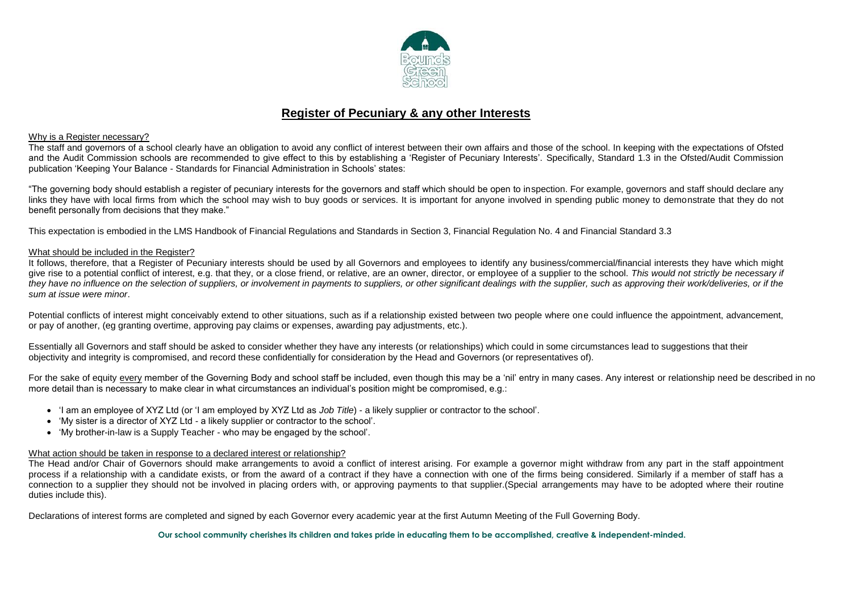

# **Register of Pecuniary & any other Interests**

### Why is a Register necessary?

The staff and governors of a school clearly have an obligation to avoid any conflict of interest between their own affairs and those of the school. In keeping with the expectations of Ofsted and the Audit Commission schools are recommended to give effect to this by establishing a 'Register of Pecuniary Interests'. Specifically, Standard 1.3 in the Ofsted/Audit Commission publication 'Keeping Your Balance - Standards for Financial Administration in Schools' states:

"The governing body should establish a register of pecuniary interests for the governors and staff which should be open to inspection. For example, governors and staff should declare any links they have with local firms from which the school may wish to buy goods or services. It is important for anyone involved in spending public money to demonstrate that they do not benefit personally from decisions that they make."

This expectation is embodied in the LMS Handbook of Financial Regulations and Standards in Section 3, Financial Regulation No. 4 and Financial Standard 3.3

## What should be included in the Register?

It follows, therefore, that a Register of Pecuniary interests should be used by all Governors and employees to identify any business/commercial/financial interests they have which might give rise to a potential conflict of interest, e.g. that they, or a close friend, or relative, are an owner, director, or employee of a supplier to the school. *This would not strictly be necessary if they have no influence on the selection of suppliers, or involvement in payments to suppliers, or other significant dealings with the supplier, such as approving their work/deliveries, or if the sum at issue were minor*.

Potential conflicts of interest might conceivably extend to other situations, such as if a relationship existed between two people where one could influence the appointment, advancement, or pay of another, (eg granting overtime, approving pay claims or expenses, awarding pay adjustments, etc.).

Essentially all Governors and staff should be asked to consider whether they have any interests (or relationships) which could in some circumstances lead to suggestions that their objectivity and integrity is compromised, and record these confidentially for consideration by the Head and Governors (or representatives of).

For the sake of equity every member of the Governing Body and school staff be included, even though this may be a 'nil' entry in many cases. Any interest or relationship need be described in no more detail than is necessary to make clear in what circumstances an individual's position might be compromised, e.g.:

- 'I am an employee of XYZ Ltd (or 'I am employed by XYZ Ltd as *Job Title*) a likely supplier or contractor to the school'.
- 'My sister is a director of XYZ Ltd a likely supplier or contractor to the school'.
- 'My brother-in-law is a Supply Teacher who may be engaged by the school'.

### What action should be taken in response to a declared interest or relationship?

The Head and/or Chair of Governors should make arrangements to avoid a conflict of interest arising. For example a governor might withdraw from any part in the staff appointment process if a relationship with a candidate exists, or from the award of a contract if they have a connection with one of the firms being considered. Similarly if a member of staff has a connection to a supplier they should not be involved in placing orders with, or approving payments to that supplier.(Special arrangements may have to be adopted where their routine duties include this).

Declarations of interest forms are completed and signed by each Governor every academic year at the first Autumn Meeting of the Full Governing Body.

**Our school community cherishes its children and takes pride in educating them to be accomplished, creative & independent-minded.**